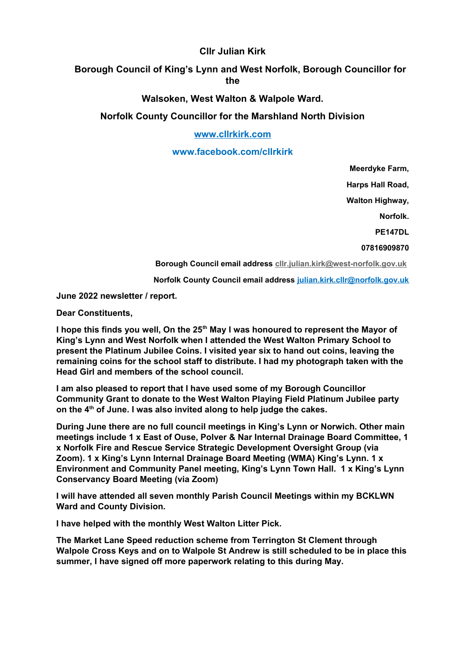## **Cllr Julian Kirk**

# **Borough Council of King's Lynn and West Norfolk, Borough Councillor for the**

### **Walsoken, West Walton & Walpole Ward.**

## **Norfolk County Councillor for the Marshland North Division**

### **[www.cllrkirk.com](http://www.cllrkirk.com/)**

#### **www.facebook.com/cllrkirk**

**Meerdyke Farm,**

 **Harps Hall Road,**

**Walton Highway,**

 **Norfolk.**

**PE147DL**

#### **07816909870**

**Borough Council email address [cllr.julian.kirk@west-norfolk.gov.uk](mailto:cllr.julian.kirk@west-norfolk.gov.uk)**

**Norfolk County Council email address [julian.kirk.cllr@norfolk.gov.uk](mailto:julian.kirk.cllr@norfolk.gov.uk)**

**June 2022 newsletter / report.**

**Dear Constituents,**

**I hope this finds you well, On the 25th May I was honoured to represent the Mayor of King's Lynn and West Norfolk when I attended the West Walton Primary School to present the Platinum Jubilee Coins. I visited year six to hand out coins, leaving the remaining coins for the school staff to distribute. I had my photograph taken with the Head Girl and members of the school council.**

**I am also pleased to report that I have used some of my Borough Councillor Community Grant to donate to the West Walton Playing Field Platinum Jubilee party on the 4th of June. I was also invited along to help judge the cakes.**

**During June there are no full council meetings in King's Lynn or Norwich. Other main meetings include 1 x East of Ouse, Polver & Nar Internal Drainage Board Committee, 1 x Norfolk Fire and Rescue Service Strategic Development Oversight Group (via Zoom). 1 x King's Lynn Internal Drainage Board Meeting (WMA) King's Lynn. 1 x Environment and Community Panel meeting, King's Lynn Town Hall. 1 x King's Lynn Conservancy Board Meeting (via Zoom)**

**I will have attended all seven monthly Parish Council Meetings within my BCKLWN Ward and County Division.**

**I have helped with the monthly West Walton Litter Pick.**

**The Market Lane Speed reduction scheme from Terrington St Clement through Walpole Cross Keys and on to Walpole St Andrew is still scheduled to be in place this summer, I have signed off more paperwork relating to this during May.**